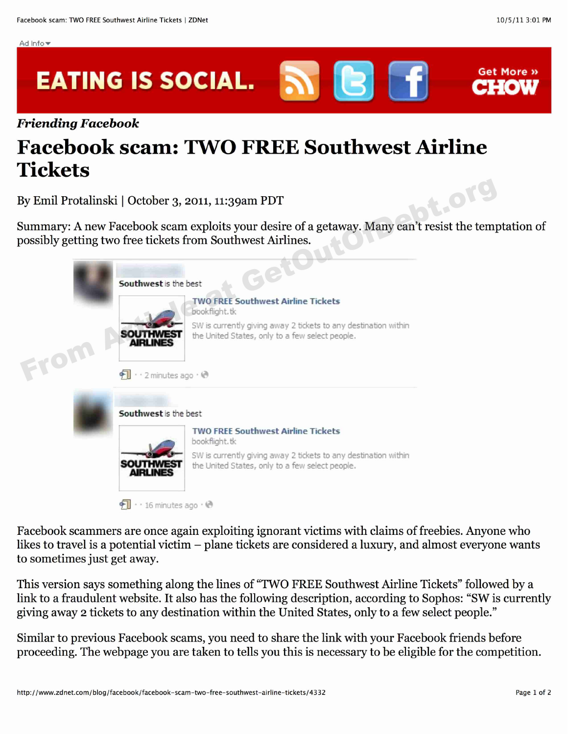Get More »





Ad Info $~$ 

## **Facebook scam: TWO FREE Southwest Airline Tickets**

Summary: A new Facebook scam exploits your desire of a getaway. Many can't resist the temptation of possibly getting two free tickets from Southwest Airlines.

|      | bt. Orl<br>3y Emil Protalinski   October 3, 2011, 11:39am PDT                                                                                                                                                                                                                   |
|------|---------------------------------------------------------------------------------------------------------------------------------------------------------------------------------------------------------------------------------------------------------------------------------|
|      | Summary: A new Facebook scam exploits your desire of a getaway. Many can't resist the temp<br>possibly getting two free tickets from Southwest Airlines.                                                                                                                        |
| From | Southwest is the best<br><b>TWO FREE Southwest Airline Tickets</b><br>bookflight, tk<br>SW is currently giving away 2 tickets to any destination within<br><b>SOUTHWEST</b><br>the United States, only to a few select people.<br><b>AIRLINES</b><br>· · 2 minutes ago · ℮      |
|      | Southwest is the best<br><b>TWO FREE Southwest Airline Tickets</b><br>bookflight.tk<br>SW is currently giving away 2 tickets to any destination within<br><b>SOUTHWEST</b><br>the United States, only to a few select people.<br>$\cdot$ $\cdot$ 16 minutes ago $\cdot$ $\odot$ |

Facebook scammers are once again exploiting ignorant victims with claims of freebies. Anyone who likes to travel is a potential victim – plane tickets are considered a luxury, and almost everyone wants to sometimes just get away.

This version says something along the lines of "TWO FREE Southwest Airline Tickets" followed by a link to a fraudulent website. It also has the following description, according to Sophos: "SW is currently giving away 2 tickets to any destination within the United States, only to a few select people."

Similar to previous Facebook seams, you need to share the link with your Facebook friends before proceeding. The webpage you are taken to tells you this is necessary to be eligible for the competition.